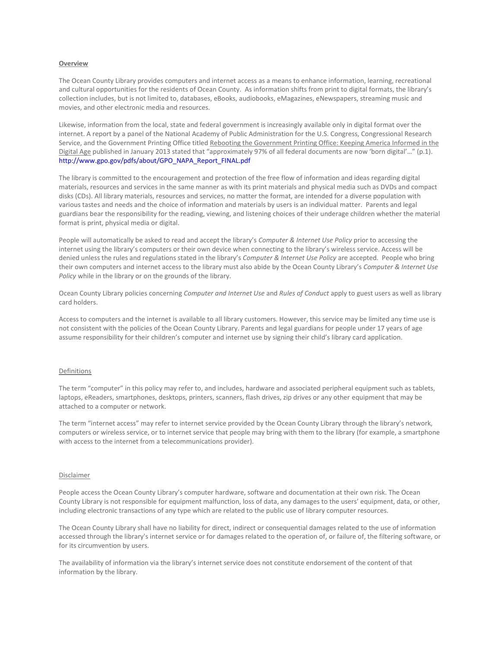## **Overview**

The Ocean County Library provides computers and internet access as a means to enhance information, learning, recreational and cultural opportunities for the residents of Ocean County. As information shifts from print to digital formats, the library's collection includes, but is not limited to, databases, eBooks, audiobooks, eMagazines, eNewspapers, streaming music and movies, and other electronic media and resources.

Likewise, information from the local, state and federal government is increasingly available only in digital format over the internet. A report by a panel of the National Academy of Public Administration for the U.S. Congress, Congressional Research Service, and the Government Printing Office titled Rebooting the Government Printing Office: Keeping America Informed in the Digital Age published in January 2013 stated that "approximately 97% of all federal documents are now 'born digital'…" (p.1). [http://www.gpo.gov/pdfs/about/GPO\\_NAPA\\_Report\\_FINAL.pdf](http://www.gpo.gov/pdfs/about/GPO_NAPA_Report_FINAL.pdf)

The library is committed to the encouragement and protection of the free flow of information and ideas regarding digital materials, resources and services in the same manner as with its print materials and physical media such as DVDs and compact disks (CDs). All library materials, resources and services, no matter the format, are intended for a diverse population with various tastes and needs and the choice of information and materials by users is an individual matter. Parents and legal guardians bear the responsibility for the reading, viewing, and listening choices of their underage children whether the material format is print, physical media or digital.

People will automatically be asked to read and accept the library's *Computer & Internet Use Policy* prior to accessing the internet using the library's computers or their own device when connecting to the library's wireless service. Access will be denied unless the rules and regulations stated in the library's *Computer & Internet Use Policy* are accepted. People who bring their own computers and internet access to the library must also abide by the Ocean County Library's *Computer & Internet Use Policy* while in the library or on the grounds of the library.

Ocean County Library policies concerning *Computer and Internet Use* and *Rules of Conduct* apply to guest users as well as library card holders.

Access to computers and the internet is available to all library customers. However, this service may be limited any time use is not consistent with the policies of the Ocean County Library. Parents and legal guardians for people under 17 years of age assume responsibility for their children's computer and internet use by signing their child's library card application.

### Definitions

The term "computer" in this policy may refer to, and includes, hardware and associated peripheral equipment such as tablets, laptops, eReaders, smartphones, desktops, printers, scanners, flash drives, zip drives or any other equipment that may be attached to a computer or network.

The term "internet access" may refer to internet service provided by the Ocean County Library through the library's network, computers or wireless service, or to internet service that people may bring with them to the library (for example, a smartphone with access to the internet from a telecommunications provider).

### Disclaimer

People access the Ocean County Library's computer hardware, software and documentation at their own risk. The Ocean County Library is not responsible for equipment malfunction, loss of data, any damages to the users' equipment, data, or other, including electronic transactions of any type which are related to the public use of library computer resources.

The Ocean County Library shall have no liability for direct, indirect or consequential damages related to the use of information accessed through the library's internet service or for damages related to the operation of, or failure of, the filtering software, or for its circumvention by users.

The availability of information via the library's internet service does not constitute endorsement of the content of that information by the library.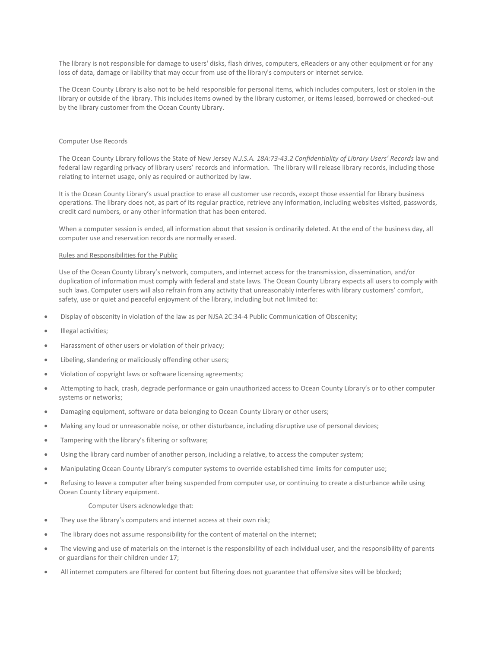The library is not responsible for damage to users' disks, flash drives, computers, eReaders or any other equipment or for any loss of data, damage or liability that may occur from use of the library's computers or internet service.

The Ocean County Library is also not to be held responsible for personal items, which includes computers, lost or stolen in the library or outside of the library. This includes items owned by the library customer, or items leased, borrowed or checked-out by the library customer from the Ocean County Library.

# Computer Use Records

The Ocean County Library follows the State of New Jersey *N.J.S.A. 18A:73-43.2 Confidentiality of Library Users' Records* law and federal law regarding privacy of library users' records and information. The library will release library records, including those relating to internet usage, only as required or authorized by law.

It is the Ocean County Library's usual practice to erase all customer use records, except those essential for library business operations. The library does not, as part of its regular practice, retrieve any information, including websites visited, passwords, credit card numbers, or any other information that has been entered.

When a computer session is ended, all information about that session is ordinarily deleted. At the end of the business day, all computer use and reservation records are normally erased.

# Rules and Responsibilities for the Public

Use of the Ocean County Library's network, computers, and internet access for the transmission, dissemination, and/or duplication of information must comply with federal and state laws. The Ocean County Library expects all users to comply with such laws. Computer users will also refrain from any activity that unreasonably interferes with library customers' comfort, safety, use or quiet and peaceful enjoyment of the library, including but not limited to:

- Display of obscenity in violation of the law as per NJSA 2C:34-4 Public Communication of Obscenity;
- Illegal activities;
- Harassment of other users or violation of their privacy;
- Libeling, slandering or maliciously offending other users;
- Violation of copyright laws or software licensing agreements;
- Attempting to hack, crash, degrade performance or gain unauthorized access to Ocean County Library's or to other computer systems or networks;
- Damaging equipment, software or data belonging to Ocean County Library or other users;
- Making any loud or unreasonable noise, or other disturbance, including disruptive use of personal devices;
- Tampering with the library's filtering or software;
- Using the library card number of another person, including a relative, to access the computer system;
- Manipulating Ocean County Library's computer systems to override established time limits for computer use;
- Refusing to leave a computer after being suspended from computer use, or continuing to create a disturbance while using Ocean County Library equipment.

### Computer Users acknowledge that:

- They use the library's computers and internet access at their own risk;
- The library does not assume responsibility for the content of material on the internet;
- The viewing and use of materials on the internet is the responsibility of each individual user, and the responsibility of parents or guardians for their children under 17;
- All internet computers are filtered for content but filtering does not guarantee that offensive sites will be blocked;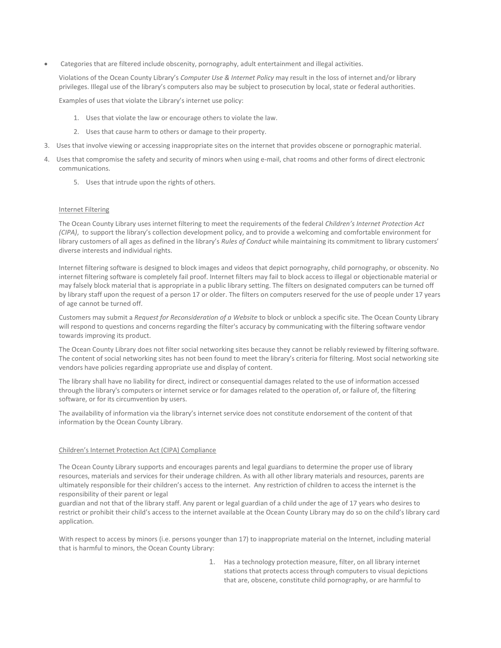Categories that are filtered include obscenity, pornography, adult entertainment and illegal activities.

Violations of the Ocean County Library's *Computer Use & Internet Policy* may result in the loss of internet and/or library privileges. Illegal use of the library's computers also may be subject to prosecution by local, state or federal authorities.

Examples of uses that violate the Library's internet use policy:

- 1. Uses that violate the law or encourage others to violate the law.
- 2. Uses that cause harm to others or damage to their property.
- 3. Uses that involve viewing or accessing inappropriate sites on the internet that provides obscene or pornographic material.
- 4. Uses that compromise the safety and security of minors when using e-mail, chat rooms and other forms of direct electronic communications.
	- 5. Uses that intrude upon the rights of others.

## Internet Filtering

The Ocean County Library uses internet filtering to meet the requirements of the federal *Children's Internet Protection Act (CIPA)*, to support the library's collection development policy, and to provide a welcoming and comfortable environment for library customers of all ages as defined in the library's *Rules of Conduct* while maintaining its commitment to library customers' diverse interests and individual rights.

Internet filtering software is designed to block images and videos that depict pornography, child pornography, or obscenity. No internet filtering software is completely fail proof. Internet filters may fail to block access to illegal or objectionable material or may falsely block material that is appropriate in a public library setting. The filters on designated computers can be turned off by library staff upon the request of a person 17 or older. The filters on computers reserved for the use of people under 17 years of age cannot be turned off.

Customers may submit a *Request for Reconsideration of a Website* to block or unblock a specific site. The Ocean County Library will respond to questions and concerns regarding the filter's accuracy by communicating with the filtering software vendor towards improving its product.

The Ocean County Library does not filter social networking sites because they cannot be reliably reviewed by filtering software. The content of social networking sites has not been found to meet the library's criteria for filtering. Most social networking site vendors have policies regarding appropriate use and display of content.

The library shall have no liability for direct, indirect or consequential damages related to the use of information accessed through the library's computers or internet service or for damages related to the operation of, or failure of, the filtering software, or for its circumvention by users.

The availability of information via the library's internet service does not constitute endorsement of the content of that information by the Ocean County Library.

## Children's Internet Protection Act (CIPA) Compliance

The Ocean County Library supports and encourages parents and legal guardians to determine the proper use of library resources, materials and services for their underage children. As with all other library materials and resources, parents are ultimately responsible for their children's access to the internet. Any restriction of children to access the internet is the responsibility of their parent or legal

guardian and not that of the library staff. Any parent or legal guardian of a child under the age of 17 years who desires to restrict or prohibit their child's access to the internet available at the Ocean County Library may do so on the child's library card application.

With respect to access by minors (i.e. persons younger than 17) to inappropriate material on the Internet, including material that is harmful to minors, the Ocean County Library:

> 1. Has a technology protection measure, filter, on all library internet stations that protects access through computers to visual depictions that are, obscene, constitute child pornography, or are harmful to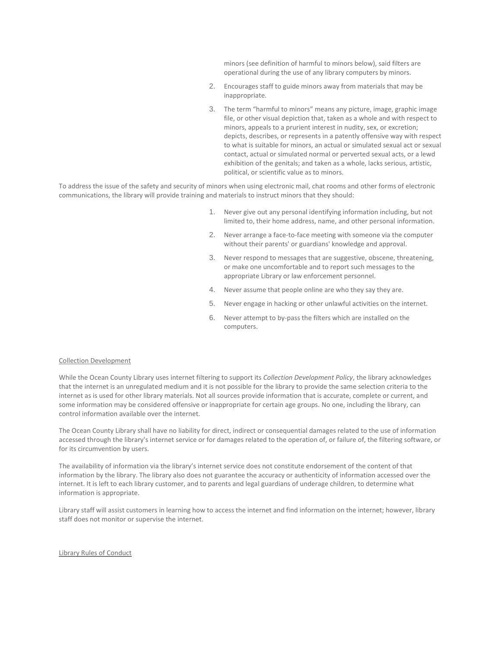minors (see definition of harmful to minors below), said filters are operational during the use of any library computers by minors.

- 2. Encourages staff to guide minors away from materials that may be inappropriate.
- 3. The term "harmful to minors" means any picture, image, graphic image file, or other visual depiction that, taken as a whole and with respect to minors, appeals to a prurient interest in nudity, sex, or excretion; depicts, describes, or represents in a patently offensive way with respect to what is suitable for minors, an actual or simulated sexual act or sexual contact, actual or simulated normal or perverted sexual acts, or a lewd exhibition of the genitals; and taken as a whole, lacks serious, artistic, political, or scientific value as to minors.

To address the issue of the safety and security of minors when using electronic mail, chat rooms and other forms of electronic communications, the library will provide training and materials to instruct minors that they should:

- 1. Never give out any personal identifying information including, but not limited to, their home address, name, and other personal information.
- 2. Never arrange a face-to-face meeting with someone via the computer without their parents' or guardians' knowledge and approval.
- 3. Never respond to messages that are suggestive, obscene, threatening, or make one uncomfortable and to report such messages to the appropriate Library or law enforcement personnel.
- 4. Never assume that people online are who they say they are.
- 5. Never engage in hacking or other unlawful activities on the internet.
- 6. Never attempt to by-pass the filters which are installed on the computers.

### Collection Development

While the Ocean County Library uses internet filtering to support its *Collection Development Policy*, the library acknowledges that the internet is an unregulated medium and it is not possible for the library to provide the same selection criteria to the internet as is used for other library materials. Not all sources provide information that is accurate, complete or current, and some information may be considered offensive or inappropriate for certain age groups. No one, including the library, can control information available over the internet.

The Ocean County Library shall have no liability for direct, indirect or consequential damages related to the use of information accessed through the library's internet service or for damages related to the operation of, or failure of, the filtering software, or for its circumvention by users.

The availability of information via the library's internet service does not constitute endorsement of the content of that information by the library. The library also does not guarantee the accuracy or authenticity of information accessed over the internet. It is left to each library customer, and to parents and legal guardians of underage children, to determine what information is appropriate.

Library staff will assist customers in learning how to access the internet and find information on the internet; however, library staff does not monitor or supervise the internet.

Library Rules of Conduct